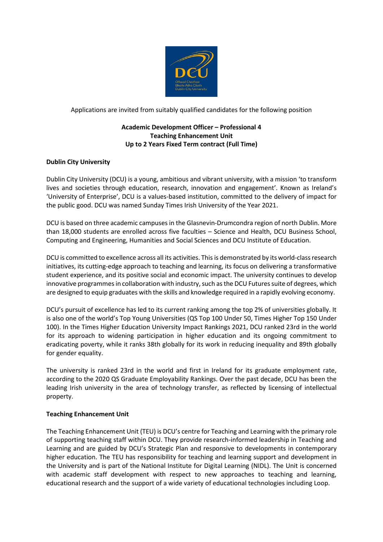

Applications are invited from suitably qualified candidates for the following position

# **Academic Development Officer – Professional 4 Teaching Enhancement Unit Up to 2 Years Fixed Term contract (Full Time)**

# **Dublin City University**

Dublin City University (DCU) is a young, ambitious and vibrant university, with a mission 'to transform lives and societies through education, research, innovation and engagement'. Known as Ireland's 'University of Enterprise', DCU is a values-based institution, committed to the delivery of impact for the public good. DCU was named Sunday Times Irish University of the Year 2021.

DCU is based on three academic campuses in the Glasnevin-Drumcondra region of north Dublin. More than 18,000 students are enrolled across five faculties – Science and Health, DCU Business School, Computing and Engineering, Humanities and Social Sciences and DCU Institute of Education.

DCU is committed to excellence across all its activities. This is demonstrated by its world-class research initiatives, its cutting-edge approach to teaching and learning, its focus on delivering a transformative student experience, and its positive social and economic impact. The university continues to develop innovative programmes in collaboration with industry, such as the DCU Futures suite of degrees, which are designed to equip graduates with the skills and knowledge required in a rapidly evolving economy.

DCU's pursuit of excellence has led to its current ranking among the top 2% of universities globally. It is also one of the world's Top Young Universities (QS Top 100 Under 50, Times Higher Top 150 Under 100). In the Times Higher Education University Impact Rankings 2021, DCU ranked 23rd in the world for its approach to widening participation in higher education and its ongoing commitment to eradicating poverty, while it ranks 38th globally for its work in reducing inequality and 89th globally for gender equality.

The university is ranked 23rd in the world and first in Ireland for its graduate employment rate, according to the 2020 QS Graduate Employability Rankings. Over the past decade, DCU has been the leading Irish university in the area of technology transfer, as reflected by licensing of intellectual property.

#### **Teaching Enhancement Unit**

The Teaching Enhancement Unit (TEU) is DCU's centre for Teaching and Learning with the primary role of supporting teaching staff within DCU. They provide research-informed leadership in Teaching and Learning and are guided by DCU's Strategic Plan and responsive to developments in contemporary higher education. The TEU has responsibility for teaching and learning support and development in the University and is part of the National Institute for Digital Learning (NIDL). The Unit is concerned with academic staff development with respect to new approaches to teaching and learning, educational research and the support of a wide variety of educational technologies including Loop.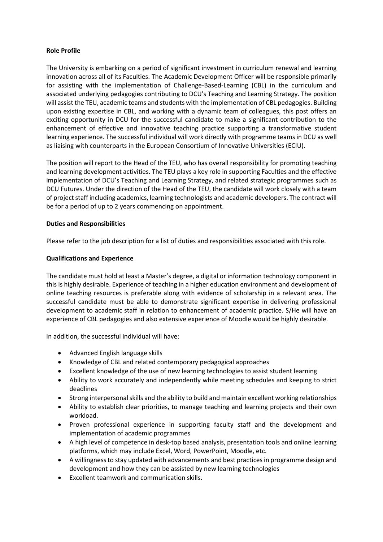## **Role Profile**

The University is embarking on a period of significant investment in curriculum renewal and learning innovation across all of its Faculties. The Academic Development Officer will be responsible primarily for assisting with the implementation of Challenge-Based-Learning (CBL) in the curriculum and associated underlying pedagogies contributing to DCU's Teaching and Learning Strategy. The position will assist the TEU, academic teams and students with the implementation of CBL pedagogies. Building upon existing expertise in CBL, and working with a dynamic team of colleagues, this post offers an exciting opportunity in DCU for the successful candidate to make a significant contribution to the enhancement of effective and innovative teaching practice supporting a transformative student learning experience. The successful individual will work directly with programme teams in DCU as well as liaising with counterparts in the European Consortium of Innovative Universities (ECIU).

The position will report to the Head of the TEU, who has overall responsibility for promoting teaching and learning development activities. The TEU plays a key role in supporting Faculties and the effective implementation of DCU's Teaching and Learning Strategy, and related strategic programmes such as DCU Futures. Under the direction of the Head of the TEU, the candidate will work closely with a team of project staff including academics, learning technologists and academic developers. The contract will be for a period of up to 2 years commencing on appointment.

## **Duties and Responsibilities**

Please refer to the job description for a list of duties and responsibilities associated with this role.

## **Qualifications and Experience**

The candidate must hold at least a Master's degree, a digital or information technology component in this is highly desirable. Experience of teaching in a higher education environment and development of online teaching resources is preferable along with evidence of scholarship in a relevant area. The successful candidate must be able to demonstrate significant expertise in delivering professional development to academic staff in relation to enhancement of academic practice. S/He will have an experience of CBL pedagogies and also extensive experience of Moodle would be highly desirable.

In addition, the successful individual will have:

- Advanced English language skills
- Knowledge of CBL and related contemporary pedagogical approaches
- Excellent knowledge of the use of new learning technologies to assist student learning
- Ability to work accurately and independently while meeting schedules and keeping to strict deadlines
- Strong interpersonal skills and the ability to build and maintain excellent working relationships
- Ability to establish clear priorities, to manage teaching and learning projects and their own workload.
- Proven professional experience in supporting faculty staff and the development and implementation of academic programmes
- A high level of competence in desk-top based analysis, presentation tools and online learning platforms, which may include Excel, Word, PowerPoint, Moodle, etc.
- A willingness to stay updated with advancements and best practices in programme design and development and how they can be assisted by new learning technologies
- Excellent teamwork and communication skills.